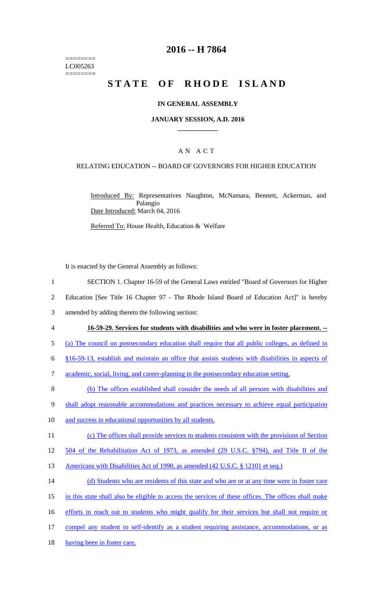======== LC005263 ========

### **2016 -- H 7864**

# STATE OF RHODE ISLAND

### **IN GENERAL ASSEMBLY**

#### **JANUARY SESSION, A.D. 2016 \_\_\_\_\_\_\_\_\_\_\_\_**

### A N A C T

### RELATING EDUCATION -- BOARD OF GOVERNORS FOR HIGHER EDUCATION

Introduced By: Representatives Naughton, McNamara, Bennett, Ackerman, and Palangio Date Introduced: March 04, 2016

Referred To: House Health, Education & Welfare

It is enacted by the General Assembly as follows:

- 1 SECTION 1. Chapter 16-59 of the General Laws entitled "Board of Governors for Higher
- 2 Education [See Title 16 Chapter 97 The Rhode Island Board of Education Act]" is hereby
- 3 amended by adding thereto the following section:
- 

#### 4 **16-59-29. Services for students with disabilities and who were in foster placement. --**

- 5 (a) The council on postsecondary education shall require that all public colleges, as defined in
- 6 §16-59-13, establish and maintain an office that assists students with disabilities in aspects of
- 7 academic, social, living, and career-planning in the postsecondary education setting.
- 8 (b) The offices established shall consider the needs of all persons with disabilities and
- 9 shall adopt reasonable accommodations and practices necessary to achieve equal participation
- 10 and success in educational opportunities by all students.
- 11 (c) The offices shall provide services to students consistent with the provisions of Section
- 12 504 of the Rehabilitation Act of 1973, as amended (29 U.S.C. §794), and Title II of the
- 13 Americans with Disabilities Act of 1990, as amended (42 U.S.C. § 12101 et seq.)
- 14 (d) Students who are residents of this state and who are or at any time were in foster care
- 15 in this state shall also be eligible to access the services of these offices. The offices shall make
- 16 efforts to reach out to students who might qualify for their services but shall not require or
- 17 compel any student to self-identify as a student requiring assistance, accommodations, or as
- 18 having been in foster care.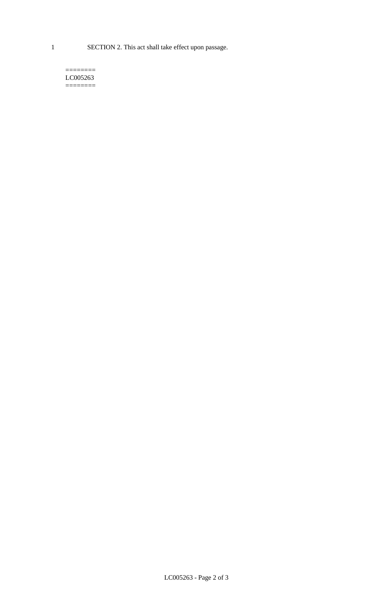1 SECTION 2. This act shall take effect upon passage.

#### $=$ LC005263  $=$